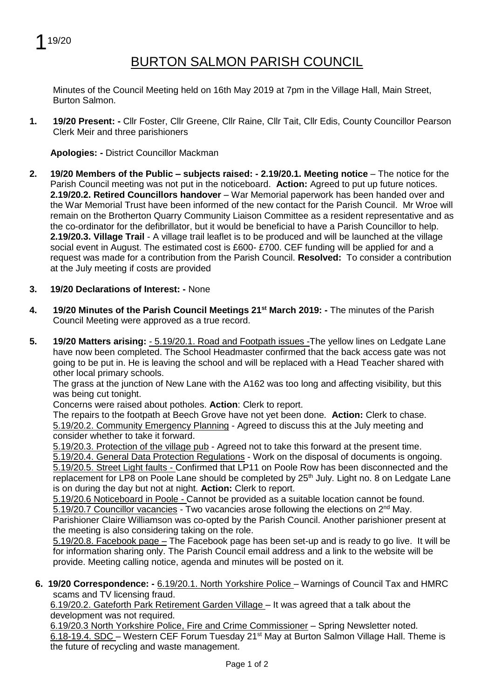

## BURTON SALMON PARISH COUNCIL

Minutes of the Council Meeting held on 16th May 2019 at 7pm in the Village Hall, Main Street, Burton Salmon.

**1. 19/20 Present: -** Cllr Foster, Cllr Greene, Cllr Raine, Cllr Tait, Cllr Edis, County Councillor Pearson Clerk Meir and three parishioners

**Apologies: -** District Councillor Mackman

- **2. 19/20 Members of the Public – subjects raised: - 2.19/20.1. Meeting notice** The notice for the Parish Council meeting was not put in the noticeboard. **Action:** Agreed to put up future notices. **2.19/20.2. Retired Councillors handover** – War Memorial paperwork has been handed over and the War Memorial Trust have been informed of the new contact for the Parish Council. Mr Wroe will remain on the Brotherton Quarry Community Liaison Committee as a resident representative and as the co-ordinator for the defibrillator, but it would be beneficial to have a Parish Councillor to help. **2.19/20.3. Village Trail** - A village trail leaflet is to be produced and will be launched at the village social event in August. The estimated cost is £600- £700. CEF funding will be applied for and a request was made for a contribution from the Parish Council. **Resolved:** To consider a contribution at the July meeting if costs are provided
- **3. 19/20 Declarations of Interest: -** None
- **4. 19/20 Minutes of the Parish Council Meetings 21st March 2019: -** The minutes of the Parish Council Meeting were approved as a true record.
- **5. 19/20 Matters arising:**  5.19/20.1. Road and Footpath issues -The yellow lines on Ledgate Lane have now been completed. The School Headmaster confirmed that the back access gate was not going to be put in. He is leaving the school and will be replaced with a Head Teacher shared with other local primary schools.

The grass at the junction of New Lane with the A162 was too long and affecting visibility, but this was being cut tonight.

Concerns were raised about potholes. **Action**: Clerk to report.

The repairs to the footpath at Beech Grove have not yet been done. **Action:** Clerk to chase. 5.19/20.2. Community Emergency Planning - Agreed to discuss this at the July meeting and consider whether to take it forward.

5.19/20.3. Protection of the village pub - Agreed not to take this forward at the present time.

5.19/20.4. General Data Protection Regulations - Work on the disposal of documents is ongoing. 5.19/20.5. Street Light faults - Confirmed that LP11 on Poole Row has been disconnected and the replacement for LP8 on Poole Lane should be completed by 25<sup>th</sup> July. Light no. 8 on Ledgate Lane is on during the day but not at night. **Action:** Clerk to report.

5.19/20.6 Noticeboard in Poole - Cannot be provided as a suitable location cannot be found.

5.19/20.7 Councillor vacancies - Two vacancies arose following the elections on 2<sup>nd</sup> May.

Parishioner Claire Williamson was co-opted by the Parish Council. Another parishioner present at the meeting is also considering taking on the role.

5.19/20.8. Facebook page – The Facebook page has been set-up and is ready to go live. It will be for information sharing only. The Parish Council email address and a link to the website will be provide. Meeting calling notice, agenda and minutes will be posted on it.

**6. 19/20 Correspondence: -** 6.19/20.1. North Yorkshire Police – Warnings of Council Tax and HMRC scams and TV licensing fraud.

6.19/20.2. Gateforth Park Retirement Garden Village – It was agreed that a talk about the development was not required.

6.19/20.3 North Yorkshire Police, Fire and Crime Commissioner – Spring Newsletter noted. 6.18-19.4. SDC – Western CEF Forum Tuesday 21<sup>st</sup> May at Burton Salmon Village Hall. Theme is the future of recycling and waste management.